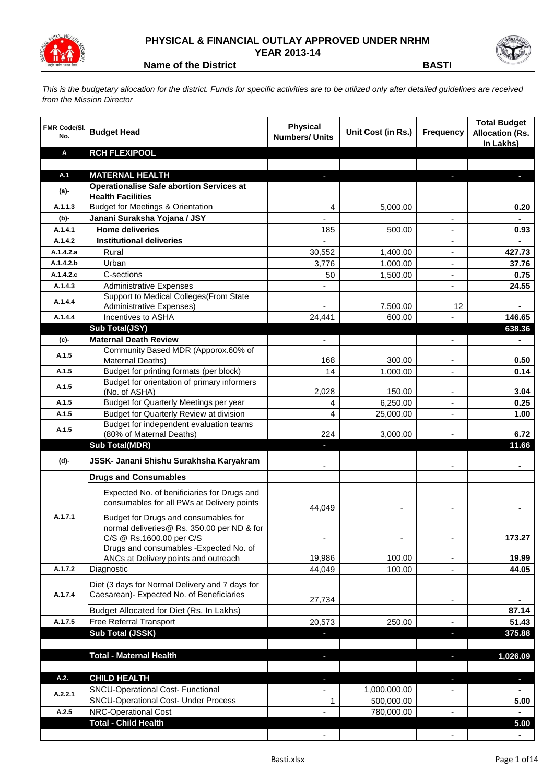

## **PHYSICAL & FINANCIAL OUTLAY APPROVED UNDER NRHM YEAR 2013-14**



**Name of the District BASTI**

*This is the budgetary allocation for the district. Funds for specific activities are to be utilized only after detailed guidelines are received from the Mission Director*

| <b>FMR Code/SI.</b><br>No. | <b>Budget Head</b>                                                                                             | <b>Physical</b><br><b>Numbers/ Units</b> | Unit Cost (in Rs.) | <b>Frequency</b>         | <b>Total Budget</b><br><b>Allocation (Rs.</b><br>In Lakhs) |
|----------------------------|----------------------------------------------------------------------------------------------------------------|------------------------------------------|--------------------|--------------------------|------------------------------------------------------------|
| Α                          | <b>RCH FLEXIPOOL</b>                                                                                           |                                          |                    |                          |                                                            |
|                            |                                                                                                                |                                          |                    |                          |                                                            |
| A.1<br>(a)-                | <b>MATERNAL HEALTH</b><br><b>Operationalise Safe abortion Services at</b><br><b>Health Facilities</b>          |                                          |                    |                          |                                                            |
| A.1.1.3                    | <b>Budget for Meetings &amp; Orientation</b>                                                                   | 4                                        | 5,000.00           |                          | 0.20                                                       |
| (b)-                       | Janani Suraksha Yojana / JSY                                                                                   |                                          |                    |                          |                                                            |
| A.1.4.1                    | <b>Home deliveries</b>                                                                                         | 185                                      | 500.00             |                          | 0.93                                                       |
| A.1.4.2                    | <b>Institutional deliveries</b>                                                                                |                                          |                    |                          |                                                            |
| A.1.4.2.a                  | Rural                                                                                                          | 30,552                                   | 1,400.00           | $\overline{\phantom{a}}$ | 427.73                                                     |
| A.1.4.2.b                  | Urban                                                                                                          | 3,776                                    | 1,000.00           | $\overline{\phantom{a}}$ | 37.76                                                      |
| A.1.4.2.c                  | C-sections                                                                                                     | 50                                       | 1,500.00           | $\overline{\phantom{a}}$ | 0.75                                                       |
| A.1.4.3                    | <b>Administrative Expenses</b>                                                                                 |                                          |                    | $\blacksquare$           | 24.55                                                      |
| A.1.4.4                    | Support to Medical Colleges (From State                                                                        |                                          |                    |                          |                                                            |
| A.1.4.4                    | Administrative Expenses)<br>Incentives to ASHA                                                                 | 24,441                                   | 7,500.00<br>600.00 | 12<br>÷,                 | $\blacksquare$<br>146.65                                   |
|                            | Sub Total(JSY)                                                                                                 |                                          |                    |                          | 638.36                                                     |
| (c)-                       | <b>Maternal Death Review</b>                                                                                   | $\overline{\phantom{a}}$                 |                    | $\overline{\phantom{0}}$ |                                                            |
| A.1.5                      | Community Based MDR (Apporox.60% of<br>Maternal Deaths)                                                        | 168                                      | 300.00             |                          | 0.50                                                       |
| A.1.5                      | Budget for printing formats (per block)                                                                        | 14                                       | 1,000.00           |                          | 0.14                                                       |
| A.1.5                      | Budget for orientation of primary informers<br>(No. of ASHA)                                                   | 2,028                                    | 150.00             |                          | 3.04                                                       |
| A.1.5                      | Budget for Quarterly Meetings per year                                                                         | 4                                        | 6,250.00           | ٠                        | 0.25                                                       |
| A.1.5                      | Budget for Quarterly Review at division                                                                        | 4                                        | 25,000.00          | $\overline{\phantom{m}}$ | 1.00                                                       |
| A.1.5                      | Budget for independent evaluation teams<br>(80% of Maternal Deaths)                                            | 224                                      | 3,000.00           |                          | 6.72                                                       |
|                            | <b>Sub Total(MDR)</b>                                                                                          | E.                                       |                    |                          | 11.66                                                      |
| (d)-                       | JSSK- Janani Shishu Surakhsha Karyakram                                                                        |                                          |                    |                          |                                                            |
|                            | <b>Drugs and Consumables</b>                                                                                   |                                          |                    |                          |                                                            |
|                            | Expected No. of benificiaries for Drugs and<br>consumables for all PWs at Delivery points                      | 44,049                                   |                    |                          |                                                            |
| A.1.7.1                    | Budget for Drugs and consumables for<br>normal deliveries@ Rs. 350.00 per ND & for<br>C/S @ Rs.1600.00 per C/S |                                          |                    |                          | 173.27                                                     |
|                            | Drugs and consumables - Expected No. of<br>ANCs at Delivery points and outreach                                | 19,986                                   | 100.00             |                          | 19.99                                                      |
| A.1.7.2                    | Diagnostic                                                                                                     | 44,049                                   | 100.00             |                          | 44.05                                                      |
| A.1.7.4                    | Diet (3 days for Normal Delivery and 7 days for<br>Caesarean)- Expected No. of Beneficiaries                   | 27,734                                   |                    |                          |                                                            |
|                            | Budget Allocated for Diet (Rs. In Lakhs)                                                                       |                                          |                    |                          | 87.14                                                      |
| A.1.7.5                    | <b>Free Referral Transport</b>                                                                                 | 20,573                                   | 250.00             |                          | 51.43                                                      |
|                            | Sub Total (JSSK)                                                                                               |                                          |                    | J,                       | 375.88                                                     |
|                            |                                                                                                                |                                          |                    |                          |                                                            |
|                            | <b>Total - Maternal Health</b>                                                                                 | ٠                                        |                    | J,                       | 1,026.09                                                   |
| A.2.                       | <b>CHILD HEALTH</b>                                                                                            | ٠                                        |                    | ٠                        | $\blacksquare$                                             |
|                            | SNCU-Operational Cost- Functional                                                                              |                                          | 1,000,000.00       | ٠                        |                                                            |
| A.2.2.1                    | <b>SNCU-Operational Cost- Under Process</b>                                                                    | 1                                        | 500,000.00         |                          | 5.00                                                       |
| A.2.5                      | <b>NRC-Operational Cost</b>                                                                                    |                                          | 780,000.00         | $\frac{1}{2}$            | $\blacksquare$                                             |
|                            | <b>Total - Child Health</b>                                                                                    |                                          |                    |                          | 5.00                                                       |
|                            |                                                                                                                | $\overline{\phantom{a}}$                 |                    | $\blacksquare$           | $\blacksquare$                                             |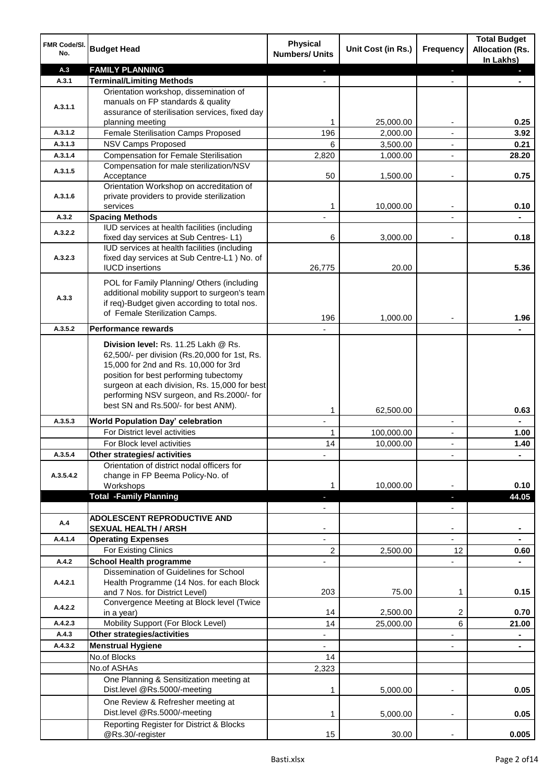| FMR Code/SI.<br>No. | <b>Budget Head</b>                                                                            | <b>Physical</b><br><b>Numbers/ Units</b> | Unit Cost (in Rs.) | Frequency                | <b>Total Budget</b><br><b>Allocation (Rs.</b><br>In Lakhs) |
|---------------------|-----------------------------------------------------------------------------------------------|------------------------------------------|--------------------|--------------------------|------------------------------------------------------------|
| A.3                 | <b>FAMILY PLANNING</b>                                                                        |                                          |                    | ٠                        |                                                            |
| A.3.1               | <b>Terminal/Limiting Methods</b>                                                              |                                          |                    |                          |                                                            |
|                     | Orientation workshop, dissemination of                                                        |                                          |                    |                          |                                                            |
| A.3.1.1             | manuals on FP standards & quality<br>assurance of sterilisation services, fixed day           |                                          |                    |                          |                                                            |
|                     | planning meeting                                                                              | 1                                        | 25,000.00          |                          | 0.25                                                       |
| A.3.1.2             | Female Sterilisation Camps Proposed                                                           | 196                                      | 2,000.00           |                          | 3.92                                                       |
| A.3.1.3             | <b>NSV Camps Proposed</b>                                                                     | 6                                        | 3,500.00           | $\blacksquare$           | 0.21                                                       |
| A.3.1.4             | <b>Compensation for Female Sterilisation</b>                                                  | 2,820                                    | 1,000.00           | $\blacksquare$           | 28.20                                                      |
| A.3.1.5             | Compensation for male sterilization/NSV                                                       |                                          |                    |                          |                                                            |
|                     | Acceptance                                                                                    | 50                                       | 1,500.00           | $\overline{a}$           | 0.75                                                       |
| A.3.1.6             | Orientation Workshop on accreditation of<br>private providers to provide sterilization        |                                          |                    |                          |                                                            |
|                     | services                                                                                      | 1                                        | 10,000.00          | $\blacksquare$           | 0.10                                                       |
| A.3.2               | <b>Spacing Methods</b>                                                                        |                                          |                    |                          |                                                            |
| A.3.2.2             | IUD services at health facilities (including                                                  |                                          |                    |                          |                                                            |
|                     | fixed day services at Sub Centres-L1)                                                         | 6                                        | 3,000.00           |                          | 0.18                                                       |
|                     | IUD services at health facilities (including                                                  |                                          |                    |                          |                                                            |
| A.3.2.3             | fixed day services at Sub Centre-L1 ) No. of<br><b>IUCD</b> insertions                        | 26,775                                   | 20.00              |                          | 5.36                                                       |
|                     |                                                                                               |                                          |                    |                          |                                                            |
|                     | POL for Family Planning/ Others (including                                                    |                                          |                    |                          |                                                            |
| A.3.3               | additional mobility support to surgeon's team<br>if req)-Budget given according to total nos. |                                          |                    |                          |                                                            |
|                     | of Female Sterilization Camps.                                                                |                                          |                    |                          |                                                            |
|                     |                                                                                               | 196                                      | 1,000.00           |                          | 1.96                                                       |
| A.3.5.2             | <b>Performance rewards</b>                                                                    |                                          |                    |                          |                                                            |
|                     | Division level: Rs. 11.25 Lakh @ Rs.                                                          |                                          |                    |                          |                                                            |
|                     | 62,500/- per division (Rs.20,000 for 1st, Rs.<br>15,000 for 2nd and Rs. 10,000 for 3rd        |                                          |                    |                          |                                                            |
|                     | position for best performing tubectomy                                                        |                                          |                    |                          |                                                            |
|                     | surgeon at each division, Rs. 15,000 for best                                                 |                                          |                    |                          |                                                            |
|                     | performing NSV surgeon, and Rs.2000/- for                                                     |                                          |                    |                          |                                                            |
|                     | best SN and Rs.500/- for best ANM).                                                           | 1                                        | 62,500.00          |                          | 0.63                                                       |
| A.3.5.3             | <b>World Population Day' celebration</b>                                                      | $\mathbf{r}$                             |                    | $\blacksquare$           |                                                            |
|                     | For District level activities                                                                 | 1                                        | 100,000.00         | $\overline{\phantom{a}}$ | 1.00                                                       |
|                     | For Block level activities                                                                    | 14                                       | 10,000.00          | $\blacksquare$           | 1.40                                                       |
| A.3.5.4             | Other strategies/ activities                                                                  |                                          |                    |                          |                                                            |
|                     | Orientation of district nodal officers for                                                    |                                          |                    |                          |                                                            |
| A.3.5.4.2           | change in FP Beema Policy-No. of<br>Workshops                                                 |                                          | 10,000.00          |                          | 0.10                                                       |
|                     | <b>Total -Family Planning</b>                                                                 |                                          |                    |                          | 44.05                                                      |
|                     |                                                                                               |                                          |                    |                          |                                                            |
|                     | ADOLESCENT REPRODUCTIVE AND                                                                   |                                          |                    |                          |                                                            |
| A.4                 | <b>SEXUAL HEALTH / ARSH</b>                                                                   |                                          |                    |                          |                                                            |
| A.4.1.4             | <b>Operating Expenses</b>                                                                     |                                          |                    |                          |                                                            |
|                     | For Existing Clinics                                                                          | 2                                        | 2,500.00           | 12                       | 0.60                                                       |
| A.4.2               | <b>School Health programme</b><br>Dissemination of Guidelines for School                      |                                          |                    |                          |                                                            |
| A.4.2.1             | Health Programme (14 Nos. for each Block                                                      |                                          |                    |                          |                                                            |
|                     | and 7 Nos. for District Level)                                                                | 203                                      | 75.00              | 1                        | 0.15                                                       |
|                     | Convergence Meeting at Block level (Twice                                                     |                                          |                    |                          |                                                            |
| A.4.2.2             | in a year)                                                                                    | 14                                       | 2,500.00           | 2                        | 0.70                                                       |
| A.4.2.3             | Mobility Support (For Block Level)                                                            | 14                                       | 25,000.00          | 6                        | 21.00                                                      |
| A.4.3               | Other strategies/activities                                                                   |                                          |                    |                          |                                                            |
| A.4.3.2             | <b>Menstrual Hygiene</b>                                                                      |                                          |                    |                          |                                                            |
|                     | No.of Blocks                                                                                  | 14                                       |                    |                          |                                                            |
|                     | No.of ASHAs                                                                                   | 2,323                                    |                    |                          |                                                            |
|                     | One Planning & Sensitization meeting at<br>Dist.level @Rs.5000/-meeting                       | 1                                        | 5,000.00           |                          | 0.05                                                       |
|                     | One Review & Refresher meeting at                                                             |                                          |                    |                          |                                                            |
|                     | Dist.level @Rs.5000/-meeting                                                                  | 1                                        | 5,000.00           |                          | 0.05                                                       |
|                     | Reporting Register for District & Blocks                                                      |                                          |                    |                          |                                                            |
|                     | @Rs.30/-register                                                                              | 15                                       | 30.00              |                          | 0.005                                                      |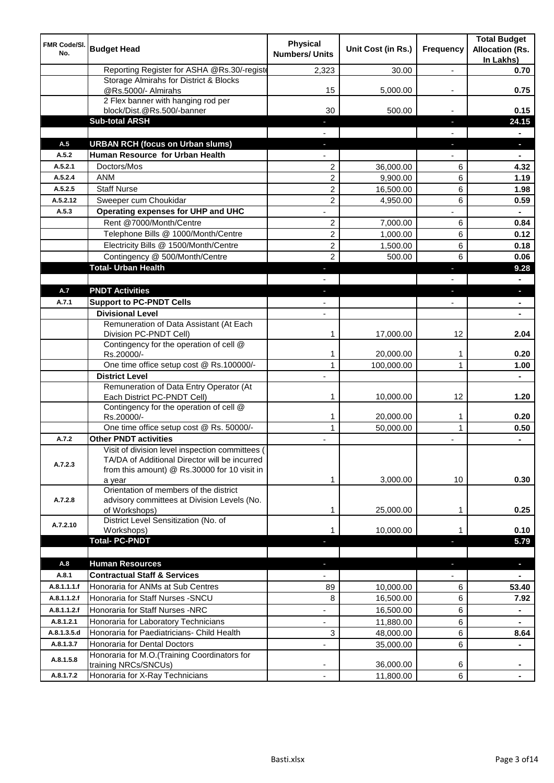| FMR Code/SI.<br>No.        | <b>Budget Head</b>                                                                                                                               | <b>Physical</b><br><b>Numbers/ Units</b> | Unit Cost (in Rs.)     | Frequency                | <b>Total Budget</b><br><b>Allocation (Rs.</b><br>In Lakhs) |
|----------------------------|--------------------------------------------------------------------------------------------------------------------------------------------------|------------------------------------------|------------------------|--------------------------|------------------------------------------------------------|
|                            | Reporting Register for ASHA @Rs.30/-registe                                                                                                      | 2,323                                    | 30.00                  | ۰.                       | 0.70                                                       |
|                            | Storage Almirahs for District & Blocks<br>@Rs.5000/- Almirahs                                                                                    | 15                                       | 5,000.00               |                          | 0.75                                                       |
|                            | 2 Flex banner with hanging rod per                                                                                                               |                                          |                        |                          |                                                            |
|                            | block/Dist.@Rs.500/-banner                                                                                                                       | 30                                       | 500.00                 |                          | 0.15                                                       |
|                            | <b>Sub-total ARSH</b>                                                                                                                            |                                          |                        | ÷.                       | 24.15                                                      |
|                            |                                                                                                                                                  |                                          |                        |                          |                                                            |
| A.5                        | <b>URBAN RCH (focus on Urban slums)</b><br>Human Resource for Urban Health                                                                       |                                          |                        | r.                       | $\blacksquare$                                             |
| A.5.2<br>A.5.2.1           | Doctors/Mos                                                                                                                                      |                                          |                        |                          |                                                            |
| A.5.2.4                    | <b>ANM</b>                                                                                                                                       | 2<br>$\overline{c}$                      | 36,000.00<br>9,900.00  | 6<br>6                   | 4.32<br>1.19                                               |
| A.5.2.5                    | <b>Staff Nurse</b>                                                                                                                               | $\overline{2}$                           | 16,500.00              | 6                        | 1.98                                                       |
| A.5.2.12                   | Sweeper cum Choukidar                                                                                                                            | 2                                        | 4,950.00               | 6                        | 0.59                                                       |
| A.5.3                      | Operating expenses for UHP and UHC                                                                                                               |                                          |                        |                          |                                                            |
|                            | Rent @7000/Month/Centre                                                                                                                          | 2                                        | 7,000.00               | 6                        | 0.84                                                       |
|                            | Telephone Bills @ 1000/Month/Centre                                                                                                              | $\overline{c}$                           | 1,000.00               | 6                        | 0.12                                                       |
|                            | Electricity Bills @ 1500/Month/Centre                                                                                                            | 2                                        | 1,500.00               | 6                        | 0.18                                                       |
|                            | Contingency @ 500/Month/Centre                                                                                                                   | $\overline{2}$                           | 500.00                 | 6                        | 0.06                                                       |
|                            | <b>Total- Urban Health</b>                                                                                                                       | L.                                       |                        | ٠                        | 9.28                                                       |
|                            |                                                                                                                                                  |                                          |                        |                          | ۰                                                          |
| A.7                        | <b>PNDT Activities</b>                                                                                                                           | ÷,                                       |                        | J,                       | $\blacksquare$                                             |
| A.7.1                      | <b>Support to PC-PNDT Cells</b>                                                                                                                  |                                          |                        | $\overline{\phantom{0}}$ | $\blacksquare$                                             |
|                            | <b>Divisional Level</b>                                                                                                                          | $\overline{\phantom{a}}$                 |                        |                          | $\blacksquare$                                             |
|                            | Remuneration of Data Assistant (At Each                                                                                                          |                                          |                        |                          |                                                            |
|                            | Division PC-PNDT Cell)                                                                                                                           | 1                                        | 17,000.00              | 12                       | 2.04                                                       |
|                            | Contingency for the operation of cell @<br>Rs.20000/-                                                                                            | 1                                        | 20,000.00              | 1                        | 0.20                                                       |
|                            | One time office setup cost @ Rs.100000/-                                                                                                         | $\mathbf{1}$                             | 100,000.00             | 1                        | 1.00                                                       |
|                            | <b>District Level</b>                                                                                                                            |                                          |                        |                          | $\blacksquare$                                             |
|                            | Remuneration of Data Entry Operator (At<br>Each District PC-PNDT Cell)                                                                           | 1                                        | 10,000.00              | 12                       | 1.20                                                       |
|                            | Contingency for the operation of cell @                                                                                                          |                                          |                        |                          |                                                            |
|                            | Rs.20000/-<br>One time office setup cost @ Rs. 50000/-                                                                                           | $\mathbf{1}$<br>$\mathbf{1}$             | 20,000.00<br>50,000.00 | 1<br>$\mathbf{1}$        | 0.20<br>0.50                                               |
| A.7.2                      | <b>Other PNDT activities</b>                                                                                                                     |                                          |                        | ٠                        |                                                            |
| A.7.2.3                    | Visit of division level inspection committees (<br>TA/DA of Additional Director will be incurred<br>from this amount) @ Rs.30000 for 10 visit in |                                          |                        |                          | $\blacksquare$                                             |
|                            | a year                                                                                                                                           | 1                                        | 3,000.00               | 10                       | 0.30                                                       |
| A.7.2.8                    | Orientation of members of the district<br>advisory committees at Division Levels (No.<br>of Workshops)                                           | 1                                        | 25,000.00              | 1                        | 0.25                                                       |
| A.7.2.10                   | District Level Sensitization (No. of                                                                                                             |                                          |                        |                          |                                                            |
|                            | Workshops)                                                                                                                                       | 1                                        | 10,000.00              | 1                        | 0.10                                                       |
|                            | <b>Total-PC-PNDT</b>                                                                                                                             |                                          |                        | ٠                        | 5.79                                                       |
|                            |                                                                                                                                                  |                                          |                        |                          |                                                            |
| A.8                        | <b>Human Resources</b>                                                                                                                           | ٠                                        |                        | ٠                        | $\blacksquare$                                             |
| A.8.1                      | <b>Contractual Staff &amp; Services</b>                                                                                                          | $\overline{\phantom{0}}$                 |                        | $\overline{\phantom{0}}$ | $\blacksquare$                                             |
| A.8.1.1.1.f<br>A.8.1.1.2.f | Honoraria for ANMs at Sub Centres<br>Honoraria for Staff Nurses - SNCU                                                                           | 89<br>8                                  | 10,000.00<br>16,500.00 | 6<br>6                   | 53.40<br>7.92                                              |
| A.8.1.1.2.f                | Honoraria for Staff Nurses -NRC                                                                                                                  | ä,                                       | 16,500.00              | 6                        |                                                            |
| A.8.1.2.1                  |                                                                                                                                                  |                                          |                        |                          | ٠                                                          |
| A.8.1.3.5.d                | Honoraria for Laboratory Technicians                                                                                                             | $\overline{\phantom{0}}$                 | 11,880.00              | 6                        | $\blacksquare$                                             |
|                            | Honoraria for Paediatricians- Child Health                                                                                                       | 3                                        | 48,000.00              | 6                        | 8.64                                                       |
| A.8.1.3.7<br>A.8.1.5.8     | Honoraria for Dental Doctors<br>Honoraria for M.O.(Training Coordinators for                                                                     |                                          | 35,000.00              | 6                        |                                                            |
|                            | training NRCs/SNCUs)                                                                                                                             |                                          | 36,000.00              | 6                        |                                                            |
| A.8.1.7.2                  | Honoraria for X-Ray Technicians                                                                                                                  | $\overline{\phantom{a}}$                 | 11,800.00              | 6                        |                                                            |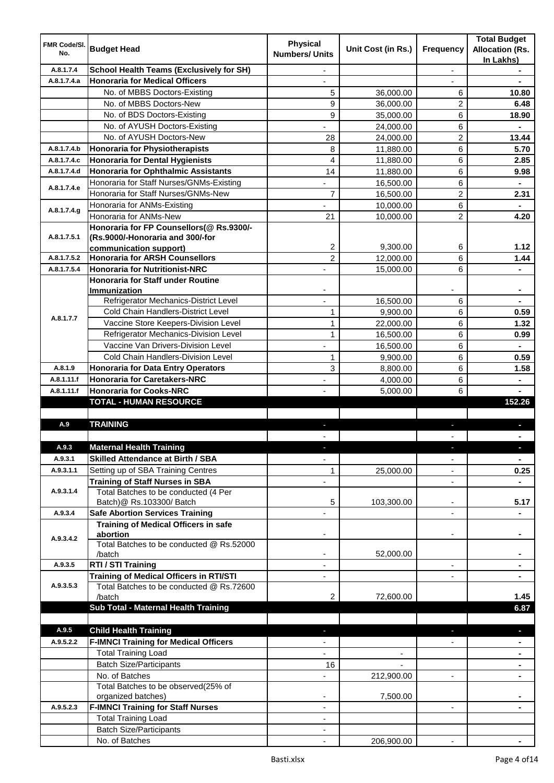| <b>FMR Code/SI.</b><br>No. | <b>Budget Head</b>                                                                    | <b>Physical</b><br><b>Numbers/ Units</b> | Unit Cost (in Rs.)       | Frequency                | <b>Total Budget</b><br><b>Allocation (Rs.</b><br>In Lakhs) |
|----------------------------|---------------------------------------------------------------------------------------|------------------------------------------|--------------------------|--------------------------|------------------------------------------------------------|
| A.8.1.7.4                  | <b>School Health Teams (Exclusively for SH)</b>                                       |                                          |                          | ÷.                       |                                                            |
| A.8.1.7.4.a                | <b>Honoraria for Medical Officers</b>                                                 |                                          |                          |                          |                                                            |
|                            | No. of MBBS Doctors-Existing                                                          | 5                                        | 36,000.00                | 6                        | 10.80                                                      |
|                            | No. of MBBS Doctors-New                                                               | 9                                        | 36,000.00                | 2                        | 6.48                                                       |
|                            | No. of BDS Doctors-Existing                                                           | 9                                        | 35,000.00                | 6                        | 18.90                                                      |
|                            | No. of AYUSH Doctors-Existing                                                         |                                          | 24.000.00                | 6                        |                                                            |
|                            | No. of AYUSH Doctors-New                                                              | 28                                       | 24,000.00                | 2                        | 13.44                                                      |
| A.8.1.7.4.b                | <b>Honoraria for Physiotherapists</b>                                                 | 8                                        | 11,880.00                | 6                        | 5.70                                                       |
| A.8.1.7.4.c                | <b>Honoraria for Dental Hygienists</b>                                                | $\overline{\mathbf{4}}$                  | 11,880.00                | 6                        | 2.85                                                       |
| A.8.1.7.4.d                | <b>Honoraria for Ophthalmic Assistants</b>                                            | 14                                       | 11,880.00                | 6                        | 9.98                                                       |
|                            | Honoraria for Staff Nurses/GNMs-Existing                                              |                                          | 16,500.00                | 6                        |                                                            |
| A.8.1.7.4.e                | Honoraria for Staff Nurses/GNMs-New                                                   | $\overline{7}$                           | 16,500.00                | 2                        | 2.31                                                       |
|                            | Honoraria for ANMs-Existing                                                           |                                          | 10,000.00                | 6                        |                                                            |
| A.8.1.7.4.g                | Honoraria for ANMs-New                                                                | 21                                       | 10,000.00                | $\overline{2}$           | 4.20                                                       |
|                            | Honoraria for FP Counsellors(@ Rs.9300/-                                              |                                          |                          |                          |                                                            |
| A.8.1.7.5.1                | (Rs.9000/-Honoraria and 300/-for                                                      |                                          |                          |                          |                                                            |
|                            | communication support)                                                                | 2                                        | 9,300.00                 | 6                        | 1.12                                                       |
| A.8.1.7.5.2                | <b>Honoraria for ARSH Counsellors</b>                                                 | 2                                        | 12,000.00                | 6                        | 1.44                                                       |
| A.8.1.7.5.4                | <b>Honoraria for Nutritionist-NRC</b>                                                 | ÷,                                       | 15,000.00                | 6                        | $\blacksquare$                                             |
|                            | <b>Honoraria for Staff under Routine</b>                                              |                                          |                          |                          |                                                            |
|                            | <b>Immunization</b>                                                                   |                                          |                          |                          |                                                            |
|                            | Refrigerator Mechanics-District Level                                                 |                                          | 16,500.00                | 6                        |                                                            |
| A.8.1.7.7                  | Cold Chain Handlers-District Level                                                    | 1                                        | 9,900.00                 | 6                        | 0.59                                                       |
|                            | Vaccine Store Keepers-Division Level                                                  | $\mathbf{1}$                             | 22,000.00                | 6                        | 1.32                                                       |
|                            | Refrigerator Mechanics-Division Level                                                 | $\mathbf{1}$                             | 16,500.00                | 6                        | 0.99                                                       |
|                            | Vaccine Van Drivers-Division Level                                                    |                                          | 16,500.00                | 6                        |                                                            |
|                            | Cold Chain Handlers-Division Level                                                    | $\mathbf{1}$                             | 9,900.00                 | 6                        | 0.59                                                       |
| A.8.1.9                    | <b>Honoraria for Data Entry Operators</b>                                             | 3                                        | 8,800.00                 | 6                        | 1.58                                                       |
| A.8.1.11.f                 | <b>Honoraria for Caretakers-NRC</b>                                                   |                                          | 4,000.00                 | 6                        |                                                            |
| A.8.1.11.f                 | <b>Honoraria for Cooks-NRC</b>                                                        |                                          | 5,000.00                 | 6                        |                                                            |
|                            | <b>TOTAL - HUMAN RESOURCE</b>                                                         |                                          |                          |                          | 152.26                                                     |
|                            |                                                                                       |                                          |                          |                          |                                                            |
| A.9                        | <b>TRAINING</b>                                                                       | ٠                                        |                          | ٠                        | p                                                          |
|                            |                                                                                       |                                          |                          |                          |                                                            |
| A.9.3                      | <b>Maternal Health Training</b>                                                       |                                          |                          |                          |                                                            |
| A.9.3.1                    | <b>Skilled Attendance at Birth / SBA</b>                                              | ÷,                                       |                          | $\overline{\phantom{a}}$ | $\blacksquare$                                             |
| A.9.3.1.1                  | Setting up of SBA Training Centres                                                    | 1                                        | 25,000.00                | ٠                        | 0.25                                                       |
|                            | <b>Training of Staff Nurses in SBA</b>                                                | $\overline{\phantom{0}}$                 |                          | $\overline{\phantom{a}}$ |                                                            |
| A.9.3.1.4                  | Total Batches to be conducted (4 Per                                                  |                                          |                          |                          |                                                            |
|                            | Batch)@ Rs.103300/ Batch                                                              | 5                                        | 103,300.00               | ٠                        | 5.17                                                       |
| A.9.3.4                    | <b>Safe Abortion Services Training</b><br><b>Training of Medical Officers in safe</b> |                                          |                          |                          |                                                            |
|                            | abortion                                                                              |                                          |                          | -                        |                                                            |
| A.9.3.4.2                  | Total Batches to be conducted @ Rs.52000                                              |                                          |                          |                          |                                                            |
|                            | /batch                                                                                | $\overline{\phantom{a}}$                 | 52,000.00                |                          | $\blacksquare$                                             |
| A.9.3.5                    | RTI / STI Training                                                                    | $\blacksquare$                           |                          | ٠                        | $\blacksquare$                                             |
|                            | <b>Training of Medical Officers in RTI/STI</b>                                        | $\overline{\phantom{a}}$                 |                          | L,                       | $\blacksquare$                                             |
| A.9.3.5.3                  | Total Batches to be conducted @ Rs.72600                                              |                                          |                          |                          |                                                            |
|                            | /batch                                                                                | 2                                        | 72,600.00                |                          | 1.45                                                       |
|                            | Sub Total - Maternal Health Training                                                  |                                          |                          |                          | 6.87                                                       |
|                            |                                                                                       |                                          |                          |                          |                                                            |
| A.9.5                      | <b>Child Health Training</b>                                                          |                                          |                          |                          | ٠                                                          |
| A.9.5.2.2                  | <b>F-IMNCI Training for Medical Officers</b>                                          |                                          |                          |                          |                                                            |
|                            | <b>Total Training Load</b>                                                            | $\overline{\phantom{0}}$                 | $\overline{\phantom{a}}$ |                          | $\blacksquare$                                             |
|                            | <b>Batch Size/Participants</b>                                                        | 16                                       |                          |                          | ٠                                                          |
|                            | No. of Batches                                                                        | $\overline{\phantom{0}}$                 | 212,900.00               | ۰                        | ٠                                                          |
|                            | Total Batches to be observed(25% of                                                   |                                          |                          |                          |                                                            |
|                            | organized batches)                                                                    |                                          | 7,500.00                 |                          |                                                            |
| A.9.5.2.3                  | <b>F-IMNCI Training for Staff Nurses</b>                                              | ٠                                        |                          | $\blacksquare$           |                                                            |
|                            | <b>Total Training Load</b>                                                            | ٠                                        |                          |                          |                                                            |
|                            | <b>Batch Size/Participants</b>                                                        |                                          |                          |                          |                                                            |
|                            | No. of Batches                                                                        |                                          | 206,900.00               |                          |                                                            |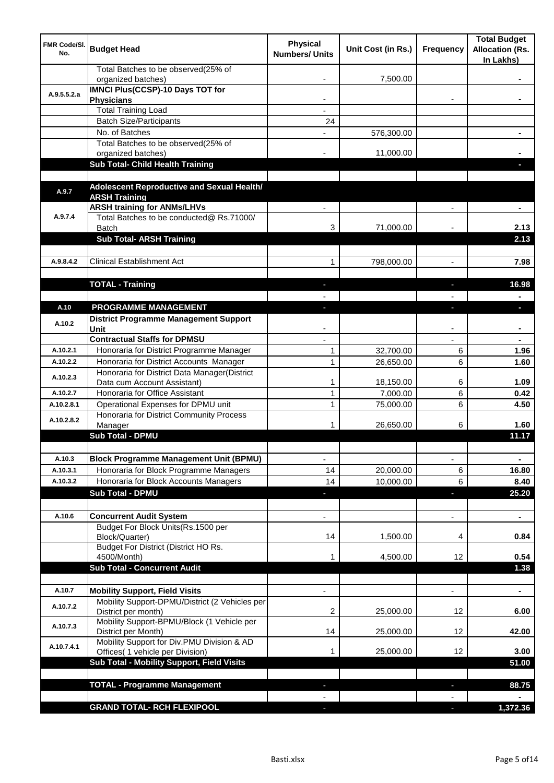| <b>FMR Code/SI.</b><br>No. | <b>Budget Head</b>                                                    | <b>Physical</b><br><b>Numbers/ Units</b> | Unit Cost (in Rs.) | Frequency      | <b>Total Budget</b><br><b>Allocation (Rs.</b><br>In Lakhs) |
|----------------------------|-----------------------------------------------------------------------|------------------------------------------|--------------------|----------------|------------------------------------------------------------|
|                            | Total Batches to be observed(25% of<br>organized batches)             |                                          | 7,500.00           |                |                                                            |
| A.9.5.5.2.a                | <b>IMNCI Plus(CCSP)-10 Days TOT for</b><br><b>Physicians</b>          |                                          |                    |                |                                                            |
|                            | <b>Total Training Load</b>                                            |                                          |                    |                |                                                            |
|                            | <b>Batch Size/Participants</b>                                        | 24                                       |                    |                |                                                            |
|                            | No. of Batches                                                        |                                          | 576,300.00         |                |                                                            |
|                            | Total Batches to be observed(25% of                                   |                                          |                    |                |                                                            |
|                            | organized batches)                                                    |                                          | 11,000.00          |                |                                                            |
|                            | Sub Total- Child Health Training                                      |                                          |                    |                |                                                            |
| A.9.7                      | Adolescent Reproductive and Sexual Health/                            |                                          |                    |                |                                                            |
|                            | <b>ARSH Training</b><br><b>ARSH training for ANMs/LHVs</b>            |                                          |                    |                |                                                            |
| A.9.7.4                    | Total Batches to be conducted@ Rs.71000/                              |                                          |                    |                |                                                            |
|                            | <b>Batch</b>                                                          | 3                                        | 71,000.00          |                | 2.13                                                       |
|                            | <b>Sub Total- ARSH Training</b>                                       |                                          |                    |                | 2.13                                                       |
| A.9.8.4.2                  | <b>Clinical Establishment Act</b>                                     | 1                                        | 798,000.00         |                | 7.98                                                       |
|                            |                                                                       |                                          |                    |                |                                                            |
|                            | <b>TOTAL - Training</b>                                               |                                          |                    |                | 16.98                                                      |
|                            |                                                                       |                                          |                    |                |                                                            |
| A.10                       | PROGRAMME MANAGEMENT                                                  |                                          |                    |                | o.                                                         |
|                            | <b>District Programme Management Support</b>                          |                                          |                    |                |                                                            |
| A.10.2                     | Unit                                                                  |                                          |                    |                |                                                            |
|                            | <b>Contractual Staffs for DPMSU</b>                                   |                                          |                    |                |                                                            |
| A.10.2.1                   | Honoraria for District Programme Manager                              | 1                                        | 32,700.00          | 6              | 1.96                                                       |
| A.10.2.2                   | Honoraria for District Accounts Manager                               | $\mathbf{1}$                             | 26,650.00          | 6              | 1.60                                                       |
|                            | Honoraria for District Data Manager(District                          |                                          |                    |                |                                                            |
| A.10.2.3                   | Data cum Account Assistant)                                           | 1                                        | 18,150.00          | 6              | 1.09                                                       |
| A.10.2.7                   | Honoraria for Office Assistant                                        | 1                                        | 7,000.00           | 6              | 0.42                                                       |
| A.10.2.8.1                 | Operational Expenses for DPMU unit                                    | 1                                        | 75,000.00          | 6              | 4.50                                                       |
|                            | Honoraria for District Community Process                              |                                          |                    |                |                                                            |
| A.10.2.8.2                 | Manager                                                               | 1                                        | 26,650.00          | 6              | 1.60                                                       |
|                            | <b>Sub Total - DPMU</b>                                               |                                          |                    |                | 11.17                                                      |
|                            |                                                                       |                                          |                    |                |                                                            |
| A.10.3                     | <b>Block Programme Management Unit (BPMU)</b>                         | $\overline{\phantom{0}}$                 |                    | ÷,             | $\blacksquare$                                             |
| A.10.3.1                   | Honoraria for Block Programme Managers                                | 14                                       | 20,000.00          | 6              | 16.80                                                      |
| A.10.3.2                   | Honoraria for Block Accounts Managers                                 | 14                                       | 10,000.00          | 6              | 8.40                                                       |
|                            | <b>Sub Total - DPMU</b>                                               | ٠                                        |                    | J,             | 25.20                                                      |
|                            |                                                                       |                                          |                    |                |                                                            |
| A.10.6                     | <b>Concurrent Audit System</b>                                        |                                          |                    | $\blacksquare$ | $\blacksquare$                                             |
|                            | Budget For Block Units(Rs.1500 per                                    |                                          |                    |                |                                                            |
|                            | Block/Quarter)                                                        | 14                                       | 1,500.00           | 4              | 0.84                                                       |
|                            | Budget For District (District HO Rs.                                  |                                          |                    |                |                                                            |
|                            | 4500/Month)                                                           | 1                                        | 4,500.00           | 12             | 0.54                                                       |
|                            | <b>Sub Total - Concurrent Audit</b>                                   |                                          |                    |                | 1.38                                                       |
|                            |                                                                       |                                          |                    |                |                                                            |
| A.10.7                     | <b>Mobility Support, Field Visits</b>                                 |                                          |                    | ٠              | $\blacksquare$                                             |
| A.10.7.2                   | Mobility Support-DPMU/District (2 Vehicles per<br>District per month) | 2                                        | 25,000.00          | 12             | 6.00                                                       |
|                            | Mobility Support-BPMU/Block (1 Vehicle per                            |                                          |                    |                |                                                            |
| A.10.7.3                   | District per Month)                                                   | 14                                       | 25,000.00          | 12             | 42.00                                                      |
| A.10.7.4.1                 | Mobility Support for Div.PMU Division & AD                            |                                          |                    |                |                                                            |
|                            | Offices( 1 vehicle per Division)                                      | 1                                        | 25,000.00          | 12             | 3.00                                                       |
|                            | Sub Total - Mobility Support, Field Visits                            |                                          |                    |                | 51.00                                                      |
|                            |                                                                       |                                          |                    |                |                                                            |
|                            | <b>TOTAL - Programme Management</b>                                   |                                          |                    | J,             | 88.75                                                      |
|                            |                                                                       |                                          |                    |                |                                                            |
|                            | <b>GRAND TOTAL- RCH FLEXIPOOL</b>                                     |                                          |                    | $\sim$         | 1,372.36                                                   |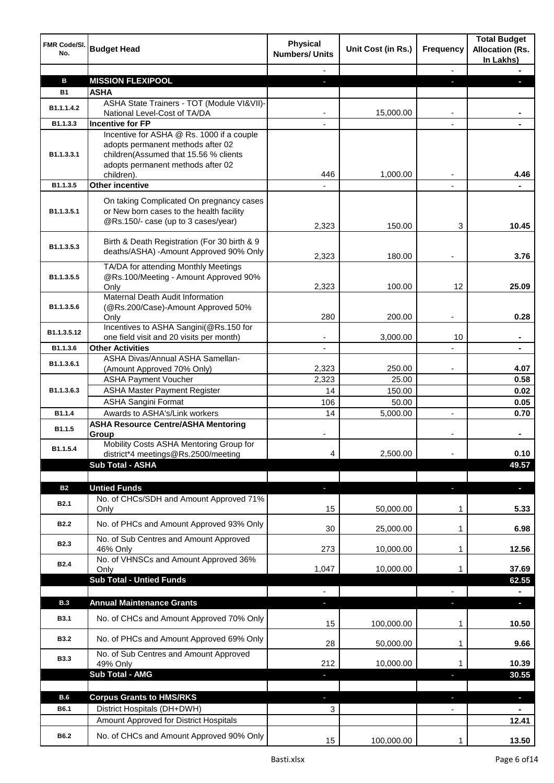| FMR Code/SI.<br>No. | <b>Budget Head</b>                                                                                                                                                         | <b>Physical</b><br><b>Numbers/ Units</b> | Unit Cost (in Rs.) | Frequency                | <b>Total Budget</b><br><b>Allocation (Rs.</b><br>In Lakhs) |
|---------------------|----------------------------------------------------------------------------------------------------------------------------------------------------------------------------|------------------------------------------|--------------------|--------------------------|------------------------------------------------------------|
|                     |                                                                                                                                                                            |                                          |                    | $\blacksquare$           |                                                            |
| в                   | <b>MISSION FLEXIPOOL</b>                                                                                                                                                   | o.                                       |                    |                          |                                                            |
| <b>B1</b>           | <b>ASHA</b>                                                                                                                                                                |                                          |                    |                          |                                                            |
| B1.1.1.4.2          | ASHA State Trainers - TOT (Module VI&VII)-<br>National Level-Cost of TA/DA                                                                                                 |                                          | 15,000.00          |                          |                                                            |
| B1.1.3.3            | <b>Incentive for FP</b>                                                                                                                                                    |                                          |                    |                          |                                                            |
| B1.1.3.3.1          | Incentive for ASHA @ Rs. 1000 if a couple<br>adopts permanent methods after 02<br>children(Assumed that 15.56 % clients<br>adopts permanent methods after 02<br>children). | 446                                      | 1,000.00           |                          | 4.46                                                       |
| B1.1.3.5            | Other incentive                                                                                                                                                            |                                          |                    |                          |                                                            |
| B1.1.3.5.1          | On taking Complicated On pregnancy cases<br>or New born cases to the health facility<br>@Rs.150/- case (up to 3 cases/year)                                                | 2,323                                    | 150.00             | 3                        | 10.45                                                      |
| B1.1.3.5.3          | Birth & Death Registration (For 30 birth & 9<br>deaths/ASHA) -Amount Approved 90% Only                                                                                     | 2,323                                    | 180.00             | $\overline{\phantom{a}}$ | 3.76                                                       |
| B1.1.3.5.5          | TA/DA for attending Monthly Meetings<br>@Rs.100/Meeting - Amount Approved 90%<br>Only                                                                                      | 2,323                                    | 100.00             | 12                       | 25.09                                                      |
| B1.1.3.5.6          | <b>Maternal Death Audit Information</b><br>(@Rs.200/Case)-Amount Approved 50%<br>Only                                                                                      | 280                                      | 200.00             |                          | 0.28                                                       |
| B1.1.3.5.12         | Incentives to ASHA Sangini(@Rs.150 for<br>one field visit and 20 visits per month)                                                                                         | ٠                                        | 3,000.00           | 10                       | $\blacksquare$                                             |
| B1.1.3.6            | <b>Other Activities</b>                                                                                                                                                    | $\overline{\phantom{a}}$                 |                    | L,                       | $\blacksquare$                                             |
| B1.1.3.6.1          | ASHA Divas/Annual ASHA Samellan-                                                                                                                                           |                                          |                    |                          |                                                            |
|                     | (Amount Approved 70% Only)                                                                                                                                                 | 2,323                                    | 250.00             |                          | 4.07                                                       |
| B1.1.3.6.3          | <b>ASHA Payment Voucher</b>                                                                                                                                                | 2,323                                    | 25.00              |                          | 0.58                                                       |
|                     | <b>ASHA Master Payment Register</b><br><b>ASHA Sangini Format</b>                                                                                                          | 14<br>106                                | 150.00<br>50.00    |                          | 0.02<br>0.05                                               |
| B1.1.4              | Awards to ASHA's/Link workers                                                                                                                                              | 14                                       | 5,000.00           |                          | 0.70                                                       |
| B1.1.5              | <b>ASHA Resource Centre/ASHA Mentoring</b><br>Group                                                                                                                        |                                          |                    |                          |                                                            |
| B1.1.5.4            | Mobility Costs ASHA Mentoring Group for<br>district*4 meetings@Rs.2500/meeting                                                                                             | 4                                        | 2,500.00           |                          | 0.10                                                       |
|                     | Sub Total - ASHA                                                                                                                                                           |                                          |                    |                          | 49.57                                                      |
| <b>B2</b>           | <b>Untied Funds</b>                                                                                                                                                        |                                          |                    |                          |                                                            |
|                     | No. of CHCs/SDH and Amount Approved 71%                                                                                                                                    | ٠                                        |                    | r.                       | ٠                                                          |
| <b>B2.1</b>         | Only                                                                                                                                                                       | 15                                       | 50,000.00          | 1                        | 5.33                                                       |
| <b>B2.2</b>         | No. of PHCs and Amount Approved 93% Only<br>No. of Sub Centres and Amount Approved                                                                                         | 30                                       | 25,000.00          | 1                        | 6.98                                                       |
| <b>B2.3</b>         | 46% Only<br>No. of VHNSCs and Amount Approved 36%                                                                                                                          | 273                                      | 10,000.00          | 1                        | 12.56                                                      |
| <b>B2.4</b>         | Only                                                                                                                                                                       | 1,047                                    | 10,000.00          | 1                        | 37.69                                                      |
|                     | <b>Sub Total - Untied Funds</b>                                                                                                                                            |                                          |                    |                          | 62.55                                                      |
| <b>B.3</b>          | <b>Annual Maintenance Grants</b>                                                                                                                                           | r.                                       |                    | r.                       | $\blacksquare$                                             |
| <b>B3.1</b>         | No. of CHCs and Amount Approved 70% Only                                                                                                                                   | 15                                       | 100,000.00         | 1                        | 10.50                                                      |
| <b>B3.2</b>         | No. of PHCs and Amount Approved 69% Only                                                                                                                                   | 28                                       | 50,000.00          | 1                        | 9.66                                                       |
| <b>B3.3</b>         | No. of Sub Centres and Amount Approved<br>49% Only                                                                                                                         | 212                                      | 10,000.00          |                          | 10.39                                                      |
|                     | <b>Sub Total - AMG</b>                                                                                                                                                     | a,                                       |                    | E.                       | 30.55                                                      |
|                     |                                                                                                                                                                            |                                          |                    |                          |                                                            |
| <b>B.6</b>          | <b>Corpus Grants to HMS/RKS</b>                                                                                                                                            |                                          |                    |                          | $\overline{\phantom{a}}$                                   |
| B6.1                | District Hospitals (DH+DWH)                                                                                                                                                | 3                                        |                    |                          |                                                            |
|                     | Amount Approved for District Hospitals                                                                                                                                     |                                          |                    |                          | 12.41                                                      |
| B6.2                | No. of CHCs and Amount Approved 90% Only                                                                                                                                   | 15                                       | 100,000.00         | 1                        | 13.50                                                      |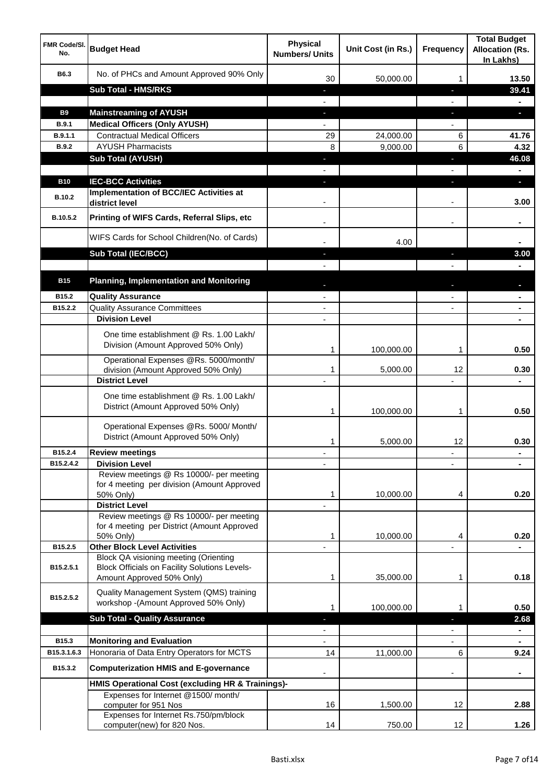| <b>FMR Code/SI.</b><br>No. | <b>Budget Head</b>                                                                                   | <b>Physical</b><br><b>Numbers/ Units</b> | Unit Cost (in Rs.) | <b>Frequency</b>         | <b>Total Budget</b><br><b>Allocation (Rs.</b><br>In Lakhs) |
|----------------------------|------------------------------------------------------------------------------------------------------|------------------------------------------|--------------------|--------------------------|------------------------------------------------------------|
| B6.3                       | No. of PHCs and Amount Approved 90% Only                                                             | 30                                       | 50,000.00          | 1                        | 13.50                                                      |
|                            | <b>Sub Total - HMS/RKS</b>                                                                           | ٠                                        |                    | J,                       | 39.41                                                      |
|                            |                                                                                                      |                                          |                    |                          | $\blacksquare$                                             |
| <b>B9</b>                  | <b>Mainstreaming of AYUSH</b>                                                                        | ÷.                                       |                    | J,                       | Ы                                                          |
| B.9.1                      | <b>Medical Officers (Only AYUSH)</b>                                                                 | $\blacksquare$                           |                    | $\overline{\phantom{0}}$ |                                                            |
| B.9.1.1                    | <b>Contractual Medical Officers</b>                                                                  | 29                                       | 24,000.00          | 6                        | 41.76                                                      |
| <b>B.9.2</b>               | <b>AYUSH Pharmacists</b>                                                                             | 8                                        | 9,000.00           | 6                        | 4.32                                                       |
|                            | <b>Sub Total (AYUSH)</b>                                                                             |                                          |                    | J,                       | 46.08                                                      |
|                            |                                                                                                      |                                          |                    |                          |                                                            |
| <b>B10</b>                 | <b>IEC-BCC Activities</b>                                                                            |                                          |                    |                          | ы                                                          |
| <b>B.10.2</b>              | Implementation of BCC/IEC Activities at<br>district level                                            |                                          |                    |                          | 3.00                                                       |
| B.10.5.2                   | Printing of WIFS Cards, Referral Slips, etc                                                          |                                          |                    | $\overline{\phantom{a}}$ |                                                            |
|                            | WIFS Cards for School Children(No. of Cards)                                                         |                                          | 4.00               |                          |                                                            |
|                            | Sub Total (IEC/BCC)                                                                                  |                                          |                    | ı.                       | 3.00                                                       |
|                            |                                                                                                      |                                          |                    |                          |                                                            |
| <b>B15</b>                 | <b>Planning, Implementation and Monitoring</b>                                                       |                                          |                    |                          |                                                            |
| B <sub>15.2</sub>          | <b>Quality Assurance</b>                                                                             |                                          |                    |                          | $\blacksquare$                                             |
| B15.2.2                    | <b>Quality Assurance Committees</b>                                                                  | $\blacksquare$                           |                    | ٠                        | $\blacksquare$                                             |
|                            | <b>Division Level</b>                                                                                | $\overline{\phantom{a}}$                 |                    |                          | $\blacksquare$                                             |
|                            | One time establishment @ Rs. 1.00 Lakh/<br>Division (Amount Approved 50% Only)                       |                                          |                    |                          |                                                            |
|                            | Operational Expenses @Rs. 5000/month/                                                                | 1                                        | 100,000.00         | 1                        | 0.50                                                       |
|                            | division (Amount Approved 50% Only)<br><b>District Level</b>                                         | 1                                        | 5,000.00           | 12                       | 0.30                                                       |
|                            | One time establishment @ Rs. 1.00 Lakh/<br>District (Amount Approved 50% Only)                       | 1                                        | 100,000.00         | 1                        | 0.50                                                       |
|                            | Operational Expenses @Rs. 5000/ Month/<br>District (Amount Approved 50% Only)                        | 1                                        | 5,000.00           | 12                       | 0.30                                                       |
| B15.2.4                    | <b>Review meetings</b>                                                                               | -                                        |                    | $\overline{\phantom{a}}$ | ۰                                                          |
| B15.2.4.2                  | <b>Division Level</b>                                                                                |                                          |                    |                          |                                                            |
|                            | Review meetings @ Rs 10000/- per meeting<br>for 4 meeting per division (Amount Approved<br>50% Only) | 1                                        | 10,000.00          | 4                        | 0.20                                                       |
|                            | <b>District Level</b><br>Review meetings @ Rs 10000/- per meeting                                    |                                          |                    |                          |                                                            |
|                            | for 4 meeting per District (Amount Approved                                                          |                                          |                    |                          |                                                            |
|                            | 50% Only)                                                                                            | 1                                        | 10,000.00          | 4                        | 0.20                                                       |
| B15.2.5                    | <b>Other Block Level Activities</b>                                                                  |                                          |                    |                          |                                                            |
| B15.2.5.1                  | <b>Block QA visioning meeting (Orienting</b><br><b>Block Officials on Facility Solutions Levels-</b> |                                          |                    |                          |                                                            |
|                            | Amount Approved 50% Only)                                                                            | 1                                        | 35,000.00          | 1                        | 0.18                                                       |
| B15.2.5.2                  | Quality Management System (QMS) training<br>workshop -(Amount Approved 50% Only)                     | 1                                        | 100,000.00         | 1                        | 0.50                                                       |
|                            | <b>Sub Total - Quality Assurance</b>                                                                 |                                          |                    | T                        | 2.68                                                       |
|                            |                                                                                                      |                                          |                    |                          | $\blacksquare$                                             |
| B15.3                      | <b>Monitoring and Evaluation</b>                                                                     |                                          |                    |                          |                                                            |
| B15.3.1.6.3                | Honoraria of Data Entry Operators for MCTS                                                           | 14                                       | 11,000.00          | 6                        | 9.24                                                       |
| B15.3.2                    | <b>Computerization HMIS and E-governance</b>                                                         |                                          |                    |                          |                                                            |
|                            | HMIS Operational Cost (excluding HR & Trainings)-                                                    |                                          |                    |                          |                                                            |
|                            | Expenses for Internet @1500/month/<br>computer for 951 Nos                                           | 16                                       | 1,500.00           | 12                       | 2.88                                                       |
|                            | Expenses for Internet Rs.750/pm/block<br>computer(new) for 820 Nos.                                  | 14                                       | 750.00             | 12                       | 1.26                                                       |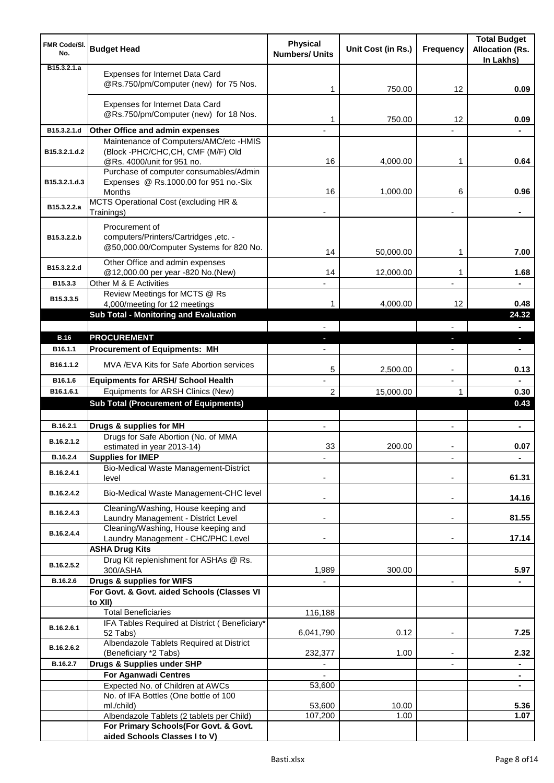| FMR Code/SI.<br>No.          | <b>Budget Head</b>                                                                                 | <b>Physical</b><br><b>Numbers/ Units</b> | Unit Cost (in Rs.) | <b>Frequency</b>         | <b>Total Budget</b><br><b>Allocation (Rs.</b><br>In Lakhs) |
|------------------------------|----------------------------------------------------------------------------------------------------|------------------------------------------|--------------------|--------------------------|------------------------------------------------------------|
| B <sub>15</sub> , 3, 2, 1, a | Expenses for Internet Data Card<br>@Rs.750/pm/Computer (new) for 75 Nos.                           | 1                                        | 750.00             | 12                       | 0.09                                                       |
|                              | Expenses for Internet Data Card<br>@Rs.750/pm/Computer (new) for 18 Nos.                           | 1                                        | 750.00             | 12                       | 0.09                                                       |
| B15.3.2.1.d                  | Other Office and admin expenses                                                                    |                                          |                    |                          |                                                            |
|                              | Maintenance of Computers/AMC/etc -HMIS                                                             |                                          |                    |                          |                                                            |
| B15.3.2.1.d.2                | (Block -PHC/CHC,CH, CMF (M/F) Old                                                                  | 16                                       |                    |                          |                                                            |
|                              | @Rs. 4000/unit for 951 no.<br>Purchase of computer consumables/Admin                               |                                          | 4,000.00           | 1                        | 0.64                                                       |
| B15.3.2.1.d.3                | Expenses @ Rs.1000.00 for 951 no.-Six<br>Months                                                    | 16                                       | 1,000.00           | 6                        | 0.96                                                       |
| B15.3.2.2.a                  | MCTS Operational Cost (excluding HR &                                                              |                                          |                    |                          |                                                            |
|                              | Trainings)                                                                                         |                                          |                    |                          |                                                            |
| B15.3.2.2.b                  | Procurement of<br>computers/Printers/Cartridges ,etc. -<br>@50,000.00/Computer Systems for 820 No. | 14                                       | 50,000.00          | 1                        | 7.00                                                       |
| B15.3.2.2.d                  | Other Office and admin expenses                                                                    |                                          |                    |                          |                                                            |
| B15.3.3                      | @12,000.00 per year -820 No.(New)<br>Other M & E Activities                                        | 14                                       | 12,000.00          | 1                        | 1.68                                                       |
|                              | Review Meetings for MCTS @ Rs                                                                      |                                          |                    |                          |                                                            |
| B15.3.3.5                    | 4,000/meeting for 12 meetings                                                                      | 1                                        | 4,000.00           | 12                       | 0.48                                                       |
|                              | Sub Total - Monitoring and Evaluation                                                              |                                          |                    |                          | 24.32                                                      |
|                              |                                                                                                    |                                          |                    |                          |                                                            |
| <b>B.16</b>                  | <b>PROCUREMENT</b>                                                                                 |                                          |                    | J,                       | o.                                                         |
| B <sub>16.1.1</sub>          | <b>Procurement of Equipments: MH</b>                                                               |                                          |                    |                          |                                                            |
| B16.1.1.2                    | MVA / EVA Kits for Safe Abortion services                                                          | 5                                        | 2,500.00           | $\overline{\phantom{a}}$ | 0.13                                                       |
| B16.1.6<br>B16.1.6.1         | <b>Equipments for ARSH/ School Health</b><br>Equipments for ARSH Clinics (New)                     | $\overline{\phantom{a}}$<br>2            | 15,000.00          | $\overline{a}$<br>1      | 0.30                                                       |
|                              | <b>Sub Total (Procurement of Equipments)</b>                                                       |                                          |                    |                          | 0.43                                                       |
|                              |                                                                                                    |                                          |                    |                          |                                                            |
| B.16.2.1                     | Drugs & supplies for MH                                                                            | $\blacksquare$                           |                    | $\blacksquare$           | $\blacksquare$                                             |
| B.16.2.1.2                   | Drugs for Safe Abortion (No. of MMA<br>estimated in year 2013-14)                                  | 33                                       | 200.00             |                          | 0.07                                                       |
| B.16.2.4                     | <b>Supplies for IMEP</b>                                                                           |                                          |                    |                          | ÷                                                          |
| B.16.2.4.1                   | Bio-Medical Waste Management-District<br>level                                                     |                                          |                    |                          | 61.31                                                      |
| B.16.2.4.2                   | Bio-Medical Waste Management-CHC level                                                             |                                          |                    | $\overline{\phantom{a}}$ | 14.16                                                      |
| B.16.2.4.3                   | Cleaning/Washing, House keeping and<br>Laundry Management - District Level                         |                                          |                    | $\blacksquare$           | 81.55                                                      |
|                              | Cleaning/Washing, House keeping and                                                                |                                          |                    |                          |                                                            |
| B.16.2.4.4                   | Laundry Management - CHC/PHC Level                                                                 |                                          |                    |                          | 17.14                                                      |
|                              | <b>ASHA Drug Kits</b>                                                                              |                                          |                    |                          |                                                            |
| B.16.2.5.2                   | Drug Kit replenishment for ASHAs @ Rs.<br>300/ASHA                                                 |                                          | 300.00             |                          | 5.97                                                       |
| B.16.2.6                     | Drugs & supplies for WIFS                                                                          | 1,989                                    |                    | $\overline{\phantom{a}}$ |                                                            |
|                              | For Govt. & Govt. aided Schools (Classes VI                                                        |                                          |                    |                          |                                                            |
|                              | to XII)                                                                                            |                                          |                    |                          |                                                            |
|                              | <b>Total Beneficiaries</b>                                                                         | 116,188                                  |                    |                          |                                                            |
| B.16.2.6.1                   | IFA Tables Required at District (Beneficiary*<br>52 Tabs)                                          | 6,041,790                                | 0.12               | $\blacksquare$           | 7.25                                                       |
| B.16.2.6.2                   | Albendazole Tablets Required at District                                                           |                                          |                    |                          | 2.32                                                       |
| B.16.2.7                     | (Beneficiary *2 Tabs)<br>Drugs & Supplies under SHP                                                | 232,377                                  | 1.00               |                          | ۰                                                          |
|                              | <b>For Aganwadi Centres</b>                                                                        |                                          |                    |                          | $\blacksquare$                                             |
|                              | Expected No. of Children at AWCs                                                                   | 53,600                                   |                    |                          | $\blacksquare$                                             |
|                              | No. of IFA Bottles (One bottle of 100                                                              |                                          |                    |                          |                                                            |
|                              | ml./child)                                                                                         | 53,600<br>107,200                        | 10.00<br>1.00      |                          | 5.36<br>1.07                                               |
|                              | Albendazole Tablets (2 tablets per Child)<br>For Primary Schools(For Govt. & Govt.                 |                                          |                    |                          |                                                            |
|                              | aided Schools Classes I to V)                                                                      |                                          |                    |                          |                                                            |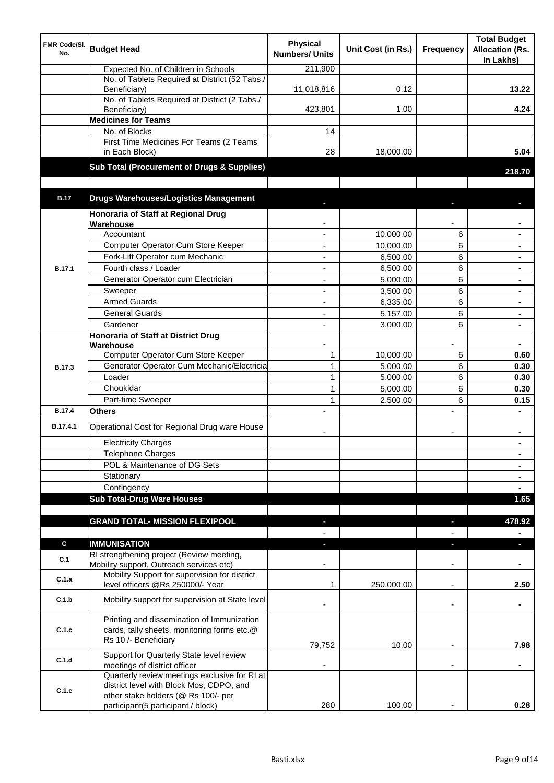| <b>FMR Code/SI.</b><br>No. | <b>Budget Head</b>                                                                                                | <b>Physical</b><br><b>Numbers/ Units</b> | Unit Cost (in Rs.)     | Frequency                | <b>Total Budget</b><br><b>Allocation (Rs.</b><br>In Lakhs) |
|----------------------------|-------------------------------------------------------------------------------------------------------------------|------------------------------------------|------------------------|--------------------------|------------------------------------------------------------|
|                            | Expected No. of Children in Schools                                                                               | 211,900                                  |                        |                          |                                                            |
|                            | No. of Tablets Required at District (52 Tabs./<br>Beneficiary)                                                    | 11,018,816                               | 0.12                   |                          | 13.22                                                      |
|                            | No. of Tablets Required at District (2 Tabs./<br>Beneficiary)                                                     | 423,801                                  | 1.00                   |                          | 4.24                                                       |
|                            | <b>Medicines for Teams</b>                                                                                        |                                          |                        |                          |                                                            |
|                            | No. of Blocks                                                                                                     | 14                                       |                        |                          |                                                            |
|                            | First Time Medicines For Teams (2 Teams<br>in Each Block)                                                         | 28                                       | 18,000.00              |                          | 5.04                                                       |
|                            | Sub Total (Procurement of Drugs & Supplies)                                                                       |                                          |                        |                          | 218.70                                                     |
|                            |                                                                                                                   |                                          |                        |                          |                                                            |
| <b>B.17</b>                | <b>Drugs Warehouses/Logistics Management</b>                                                                      |                                          |                        |                          |                                                            |
|                            | Honoraria of Staff at Regional Drug                                                                               |                                          |                        |                          |                                                            |
|                            | Warehouse<br>Accountant                                                                                           |                                          |                        |                          |                                                            |
|                            | Computer Operator Cum Store Keeper                                                                                |                                          | 10,000.00<br>10,000.00 | 6<br>6                   | $\blacksquare$                                             |
|                            | Fork-Lift Operator cum Mechanic                                                                                   | ä,                                       | 6,500.00               | 6                        | $\blacksquare$                                             |
| <b>B.17.1</b>              | Fourth class / Loader                                                                                             | ä,                                       | 6,500.00               | 6                        | $\blacksquare$                                             |
|                            | Generator Operator cum Electrician                                                                                | ÷,                                       | 5,000.00               | 6                        |                                                            |
|                            | Sweeper                                                                                                           | ÷,                                       | 3,500.00               | 6                        |                                                            |
|                            | <b>Armed Guards</b>                                                                                               | ÷,                                       | 6,335.00               | 6                        |                                                            |
|                            | <b>General Guards</b>                                                                                             | $\blacksquare$                           | 5,157.00               | 6                        | $\blacksquare$                                             |
|                            | Gardener                                                                                                          | $\blacksquare$                           | 3,000.00               | 6                        |                                                            |
|                            | <b>Honoraria of Staff at District Drug</b>                                                                        |                                          |                        |                          |                                                            |
|                            | Warehouse                                                                                                         |                                          |                        |                          |                                                            |
|                            | Computer Operator Cum Store Keeper                                                                                | $\mathbf{1}$                             | 10,000.00              | 6                        | 0.60                                                       |
| <b>B.17.3</b>              | Generator Operator Cum Mechanic/Electricia                                                                        | $\mathbf{1}$                             | 5,000.00               | 6                        | 0.30                                                       |
|                            | Loader                                                                                                            | $\mathbf{1}$                             | 5,000.00               | 6                        | 0.30                                                       |
|                            | Choukidar                                                                                                         | $\mathbf{1}$                             | 5,000.00               | 6                        | 0.30                                                       |
|                            | Part-time Sweeper                                                                                                 | 1                                        | 2,500.00               | 6                        | 0.15                                                       |
| <b>B.17.4</b>              | Others                                                                                                            |                                          |                        | $\overline{a}$           |                                                            |
| B.17.4.1                   | Operational Cost for Regional Drug ware House                                                                     |                                          |                        | $\overline{\phantom{a}}$ | $\blacksquare$                                             |
|                            | <b>Electricity Charges</b>                                                                                        |                                          |                        |                          |                                                            |
|                            | <b>Telephone Charges</b>                                                                                          |                                          |                        |                          | $\blacksquare$                                             |
|                            | POL & Maintenance of DG Sets                                                                                      |                                          |                        |                          | $\blacksquare$                                             |
|                            | Stationary                                                                                                        |                                          |                        |                          | $\blacksquare$                                             |
|                            | Contingency                                                                                                       |                                          |                        |                          | $\blacksquare$                                             |
|                            | <b>Sub Total-Drug Ware Houses</b>                                                                                 |                                          |                        |                          | 1.65                                                       |
|                            | <b>GRAND TOTAL- MISSION FLEXIPOOL</b>                                                                             |                                          |                        |                          | 478.92                                                     |
|                            |                                                                                                                   |                                          |                        |                          |                                                            |
| C                          | <b>IMMUNISATION</b>                                                                                               |                                          |                        | ٠                        | п                                                          |
| C.1                        | RI strengthening project (Review meeting,<br>Mobility support, Outreach services etc)                             |                                          |                        |                          |                                                            |
| C.1.a                      | Mobility Support for supervision for district<br>level officers @Rs 250000/- Year                                 | 1                                        | 250,000.00             | $\overline{\phantom{a}}$ | 2.50                                                       |
| C.1.b                      | Mobility support for supervision at State level                                                                   |                                          |                        | $\overline{\phantom{a}}$ | ۰                                                          |
| C.1.c                      | Printing and dissemination of Immunization<br>cards, tally sheets, monitoring forms etc.@<br>Rs 10 /- Beneficiary | 79,752                                   | 10.00                  |                          | 7.98                                                       |
| C.1.d                      | Support for Quarterly State level review                                                                          |                                          |                        |                          |                                                            |
|                            | meetings of district officer<br>Quarterly review meetings exclusive for RI at                                     |                                          |                        |                          |                                                            |
| C.1.e                      | district level with Block Mos, CDPO, and<br>other stake holders (@ Rs 100/- per                                   |                                          |                        |                          |                                                            |
|                            | participant(5 participant / block)                                                                                | 280                                      | 100.00                 |                          | 0.28                                                       |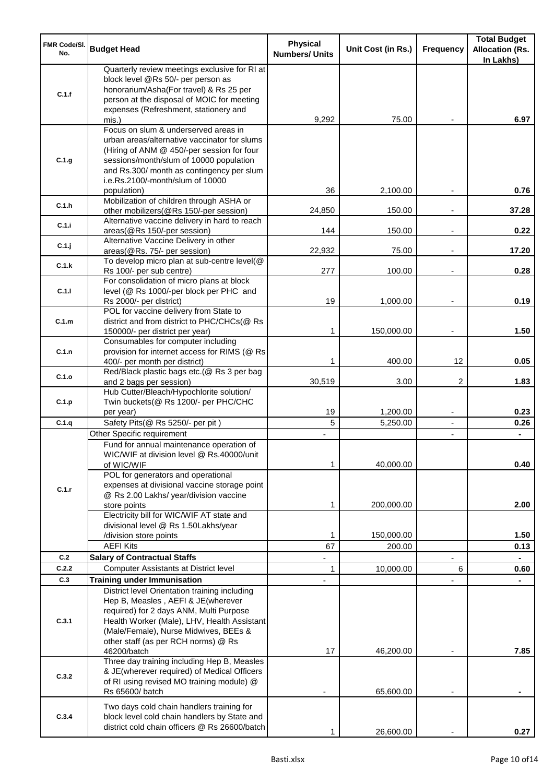| <b>FMR Code/SI.</b><br>No. | <b>Budget Head</b>                                                                                                                                                                                                                                             | <b>Physical</b><br><b>Numbers/ Units</b> | Unit Cost (in Rs.) | Frequency                                  | <b>Total Budget</b><br><b>Allocation (Rs.</b><br>In Lakhs) |
|----------------------------|----------------------------------------------------------------------------------------------------------------------------------------------------------------------------------------------------------------------------------------------------------------|------------------------------------------|--------------------|--------------------------------------------|------------------------------------------------------------|
| C.1.f                      | Quarterly review meetings exclusive for RI at<br>block level @Rs 50/- per person as<br>honorarium/Asha(For travel) & Rs 25 per<br>person at the disposal of MOIC for meeting<br>expenses (Refreshment, stationery and                                          |                                          |                    |                                            |                                                            |
|                            | mis.)                                                                                                                                                                                                                                                          | 9,292                                    | 75.00              |                                            | 6.97                                                       |
| C.1.g                      | Focus on slum & underserved areas in<br>urban areas/alternative vaccinator for slums<br>(Hiring of ANM @ 450/-per session for four<br>sessions/month/slum of 10000 population<br>and Rs.300/ month as contingency per slum<br>i.e.Rs.2100/-month/slum of 10000 | 36                                       | 2,100.00           |                                            | 0.76                                                       |
| C.1.h                      | population)<br>Mobilization of children through ASHA or<br>other mobilizers(@Rs 150/-per session)                                                                                                                                                              | 24,850                                   | 150.00             |                                            | 37.28                                                      |
| C.1.i                      | Alternative vaccine delivery in hard to reach<br>areas(@Rs 150/-per session)                                                                                                                                                                                   | 144                                      | 150.00             | $\overline{\phantom{a}}$                   | 0.22                                                       |
| C.1.j                      | Alternative Vaccine Delivery in other<br>areas(@Rs. 75/- per session)                                                                                                                                                                                          | 22,932                                   | 75.00              | $\overline{\phantom{a}}$                   | 17.20                                                      |
| C.1.k                      | To develop micro plan at sub-centre level(@                                                                                                                                                                                                                    |                                          |                    |                                            |                                                            |
|                            | Rs 100/- per sub centre)                                                                                                                                                                                                                                       | 277                                      | 100.00             |                                            | 0.28                                                       |
| C.1.1                      | For consolidation of micro plans at block<br>level (@ Rs 1000/-per block per PHC and<br>Rs 2000/- per district)                                                                                                                                                | 19                                       | 1,000.00           |                                            | 0.19                                                       |
|                            | POL for vaccine delivery from State to                                                                                                                                                                                                                         |                                          |                    |                                            |                                                            |
| C.1.m                      | district and from district to PHC/CHCs(@ Rs<br>150000/- per district per year)                                                                                                                                                                                 | 1                                        | 150,000.00         | $\overline{\phantom{a}}$                   | 1.50                                                       |
| C.1.n                      | Consumables for computer including<br>provision for internet access for RIMS (@ Rs<br>400/- per month per district)                                                                                                                                            | 1                                        | 400.00             | 12                                         | 0.05                                                       |
| C.1.o                      | Red/Black plastic bags etc.(@ Rs 3 per bag                                                                                                                                                                                                                     |                                          |                    |                                            |                                                            |
| C.1.p                      | and 2 bags per session)<br>Hub Cutter/Bleach/Hypochlorite solution/<br>Twin buckets(@ Rs 1200/- per PHC/CHC                                                                                                                                                    | 30,519                                   | 3.00               | 2                                          | 1.83                                                       |
| C.1.q                      | per year)                                                                                                                                                                                                                                                      | 19<br>5                                  | 1,200.00           | $\overline{\phantom{a}}$                   | 0.23                                                       |
|                            | Safety Pits(@ Rs 5250/- per pit)<br>Other Specific requirement                                                                                                                                                                                                 |                                          | 5,250.00           | $\overline{\phantom{a}}$<br>$\blacksquare$ | 0.26                                                       |
|                            | Fund for annual maintenance operation of<br>WIC/WIF at division level @ Rs.40000/unit<br>of WIC/WIF                                                                                                                                                            | 1                                        | 40,000.00          |                                            | 0.40                                                       |
| C.1.r                      | POL for generators and operational<br>expenses at divisional vaccine storage point<br>@ Rs 2.00 Lakhs/ year/division vaccine<br>store points                                                                                                                   | 1                                        | 200,000.00         |                                            | 2.00                                                       |
|                            | Electricity bill for WIC/WIF AT state and<br>divisional level @ Rs 1.50Lakhs/year                                                                                                                                                                              |                                          |                    |                                            |                                                            |
|                            | /division store points                                                                                                                                                                                                                                         | 1                                        | 150,000.00         |                                            | 1.50                                                       |
|                            | <b>AEFI Kits</b>                                                                                                                                                                                                                                               | 67                                       | 200.00             |                                            | 0.13                                                       |
| C.2                        | <b>Salary of Contractual Staffs</b>                                                                                                                                                                                                                            |                                          |                    |                                            |                                                            |
| C.2.2<br>C.3               | <b>Computer Assistants at District level</b><br><b>Training under Immunisation</b>                                                                                                                                                                             | 1                                        | 10,000.00          | 6                                          | 0.60                                                       |
|                            | District level Orientation training including                                                                                                                                                                                                                  |                                          |                    |                                            |                                                            |
| C.3.1                      | Hep B, Measles, AEFI & JE(wherever<br>required) for 2 days ANM, Multi Purpose<br>Health Worker (Male), LHV, Health Assistant<br>(Male/Female), Nurse Midwives, BEEs &<br>other staff (as per RCH norms) @ Rs<br>46200/batch                                    | 17                                       | 46,200.00          |                                            | 7.85                                                       |
| C.3.2                      | Three day training including Hep B, Measles<br>& JE(wherever required) of Medical Officers<br>of RI using revised MO training module) @<br>Rs 65600/ batch                                                                                                     |                                          | 65,600.00          |                                            |                                                            |
| C.3.4                      | Two days cold chain handlers training for<br>block level cold chain handlers by State and<br>district cold chain officers @ Rs 26600/batch                                                                                                                     |                                          | 26,600.00          |                                            | 0.27                                                       |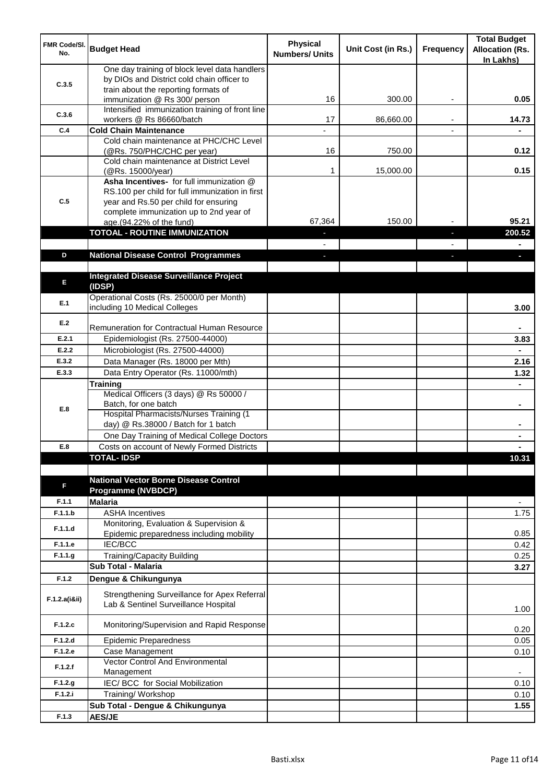| <b>FMR Code/SI.</b><br>No. | <b>Budget Head</b>                                                                                                                                                              | <b>Physical</b><br><b>Numbers/ Units</b> | Unit Cost (in Rs.) | Frequency | <b>Total Budget</b><br><b>Allocation (Rs.</b><br>In Lakhs) |
|----------------------------|---------------------------------------------------------------------------------------------------------------------------------------------------------------------------------|------------------------------------------|--------------------|-----------|------------------------------------------------------------|
| C.3.5                      | One day training of block level data handlers<br>by DIOs and District cold chain officer to                                                                                     |                                          |                    |           |                                                            |
|                            | train about the reporting formats of<br>immunization @ Rs 300/ person                                                                                                           | 16                                       | 300.00             | ٠         | 0.05                                                       |
| C.3.6                      | Intensified immunization training of front line<br>workers @ Rs 86660/batch                                                                                                     | 17                                       | 86,660.00          |           | 14.73                                                      |
| C.4                        | <b>Cold Chain Maintenance</b>                                                                                                                                                   |                                          |                    |           |                                                            |
|                            | Cold chain maintenance at PHC/CHC Level<br>(@Rs. 750/PHC/CHC per year)                                                                                                          | 16                                       | 750.00             |           | 0.12                                                       |
|                            | Cold chain maintenance at District Level<br>(@Rs. 15000/year)                                                                                                                   | 1                                        | 15,000.00          |           | 0.15                                                       |
| C.5                        | Asha Incentives- for full immunization @<br>RS.100 per child for full immunization in first<br>year and Rs.50 per child for ensuring<br>complete immunization up to 2nd year of |                                          |                    |           |                                                            |
|                            | age.(94.22% of the fund)                                                                                                                                                        | 67,364                                   | 150.00             |           | 95.21                                                      |
|                            | <b>TOTOAL - ROUTINE IMMUNIZATION</b>                                                                                                                                            |                                          |                    |           | 200.52                                                     |
|                            |                                                                                                                                                                                 |                                          |                    |           |                                                            |
| D                          | <b>National Disease Control Programmes</b>                                                                                                                                      |                                          |                    |           |                                                            |
|                            |                                                                                                                                                                                 |                                          |                    |           |                                                            |
| E                          | <b>Integrated Disease Surveillance Project</b><br>(IDSP)                                                                                                                        |                                          |                    |           |                                                            |
| E.1                        | Operational Costs (Rs. 25000/0 per Month)<br>including 10 Medical Colleges                                                                                                      |                                          |                    |           | 3.00                                                       |
| E.2                        | Remuneration for Contractual Human Resource                                                                                                                                     |                                          |                    |           |                                                            |
| E.2.1                      | Epidemiologist (Rs. 27500-44000)                                                                                                                                                |                                          |                    |           | 3.83                                                       |
| E.2.2                      | Microbiologist (Rs. 27500-44000)                                                                                                                                                |                                          |                    |           |                                                            |
| E.3.2                      | Data Manager (Rs. 18000 per Mth)                                                                                                                                                |                                          |                    |           | 2.16                                                       |
| E.3.3                      | Data Entry Operator (Rs. 11000/mth)                                                                                                                                             |                                          |                    |           | 1.32                                                       |
|                            | <b>Training</b>                                                                                                                                                                 |                                          |                    |           |                                                            |
| E.8                        | Medical Officers (3 days) @ Rs 50000 /<br>Batch, for one batch                                                                                                                  |                                          |                    |           | $\blacksquare$                                             |
|                            | Hospital Pharmacists/Nurses Training (1<br>day) @ Rs.38000 / Batch for 1 batch                                                                                                  |                                          |                    |           |                                                            |
|                            | One Day Training of Medical College Doctors                                                                                                                                     |                                          |                    |           |                                                            |
| E.8                        | Costs on account of Newly Formed Districts                                                                                                                                      |                                          |                    |           |                                                            |
|                            | <b>TOTAL-IDSP</b>                                                                                                                                                               |                                          |                    |           | 10.31                                                      |
| F                          | <b>National Vector Borne Disease Control</b><br><b>Programme (NVBDCP)</b>                                                                                                       |                                          |                    |           |                                                            |
| F.1.1                      | <b>Malaria</b>                                                                                                                                                                  |                                          |                    |           | $\overline{\phantom{a}}$                                   |
| F.1.1.b                    | <b>ASHA Incentives</b>                                                                                                                                                          |                                          |                    |           | 1.75                                                       |
| F.1.1.d                    | Monitoring, Evaluation & Supervision &<br>Epidemic preparedness including mobility                                                                                              |                                          |                    |           | 0.85                                                       |
| F.1.1.e                    | <b>IEC/BCC</b>                                                                                                                                                                  |                                          |                    |           | 0.42                                                       |
| F.1.1.g                    | Training/Capacity Building                                                                                                                                                      |                                          |                    |           | 0.25                                                       |
|                            | <b>Sub Total - Malaria</b>                                                                                                                                                      |                                          |                    |           | 3.27                                                       |
| F.1.2                      | Dengue & Chikungunya                                                                                                                                                            |                                          |                    |           |                                                            |
| F.1.2.a(iⅈ)                | Strengthening Surveillance for Apex Referral<br>Lab & Sentinel Surveillance Hospital                                                                                            |                                          |                    |           | 1.00                                                       |
| F.1.2.c                    | Monitoring/Supervision and Rapid Response                                                                                                                                       |                                          |                    |           | 0.20                                                       |
| F.1.2.d                    | <b>Epidemic Preparedness</b>                                                                                                                                                    |                                          |                    |           | 0.05                                                       |
| F.1.2.e                    | Case Management<br>Vector Control And Environmental                                                                                                                             |                                          |                    |           | 0.10                                                       |
| F.1.2.f                    | Management                                                                                                                                                                      |                                          |                    |           | $\overline{\phantom{a}}$                                   |
| F.1.2.g                    | IEC/ BCC for Social Mobilization                                                                                                                                                |                                          |                    |           | 0.10                                                       |
| F.1.2.i                    | Training/ Workshop                                                                                                                                                              |                                          |                    |           | 0.10                                                       |
|                            | Sub Total - Dengue & Chikungunya                                                                                                                                                |                                          |                    |           | 1.55                                                       |
| F.1.3                      | <b>AES/JE</b>                                                                                                                                                                   |                                          |                    |           |                                                            |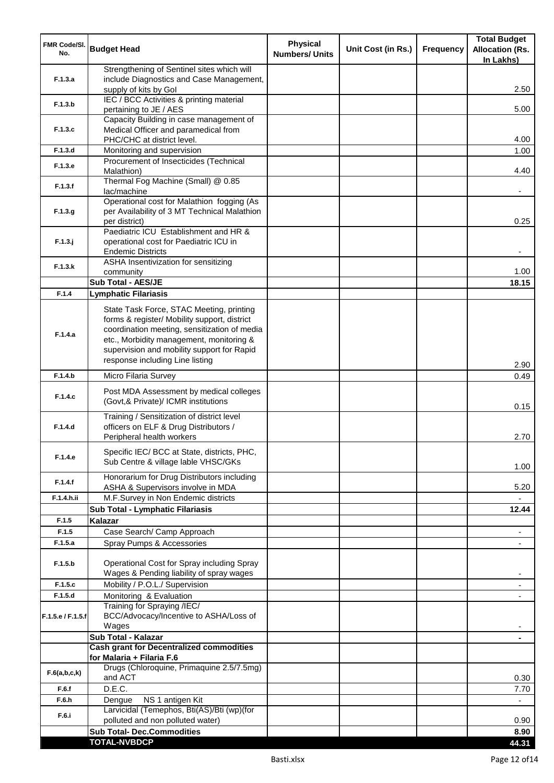| <b>FMR Code/SI.</b><br>No. | <b>Budget Head</b>                                                                                                                                                                                                                                                    | <b>Physical</b><br><b>Numbers/ Units</b> | Unit Cost (in Rs.) | <b>Frequency</b> | <b>Total Budget</b><br><b>Allocation (Rs.</b><br>In Lakhs) |
|----------------------------|-----------------------------------------------------------------------------------------------------------------------------------------------------------------------------------------------------------------------------------------------------------------------|------------------------------------------|--------------------|------------------|------------------------------------------------------------|
|                            | Strengthening of Sentinel sites which will                                                                                                                                                                                                                            |                                          |                    |                  |                                                            |
| F.1.3.a                    | include Diagnostics and Case Management,<br>supply of kits by Gol                                                                                                                                                                                                     |                                          |                    |                  | 2.50                                                       |
| F.1.3.b                    | IEC / BCC Activities & printing material                                                                                                                                                                                                                              |                                          |                    |                  |                                                            |
|                            | pertaining to JE / AES                                                                                                                                                                                                                                                |                                          |                    |                  | 5.00                                                       |
| F.1.3.c                    | Capacity Building in case management of<br>Medical Officer and paramedical from                                                                                                                                                                                       |                                          |                    |                  |                                                            |
|                            | PHC/CHC at district level.                                                                                                                                                                                                                                            |                                          |                    |                  | 4.00                                                       |
| F.1.3.d                    | Monitoring and supervision                                                                                                                                                                                                                                            |                                          |                    |                  | 1.00                                                       |
| F.1.3.e                    | Procurement of Insecticides (Technical<br>Malathion)                                                                                                                                                                                                                  |                                          |                    |                  | 4.40                                                       |
| F.1.3.f                    | Thermal Fog Machine (Small) @ 0.85<br>lac/machine                                                                                                                                                                                                                     |                                          |                    |                  |                                                            |
| F.1.3.g                    | Operational cost for Malathion fogging (As<br>per Availability of 3 MT Technical Malathion<br>per district)                                                                                                                                                           |                                          |                    |                  | 0.25                                                       |
|                            | Paediatric ICU Establishment and HR &                                                                                                                                                                                                                                 |                                          |                    |                  |                                                            |
| $F.1.3.$ j                 | operational cost for Paediatric ICU in                                                                                                                                                                                                                                |                                          |                    |                  |                                                            |
|                            | <b>Endemic Districts</b><br>ASHA Insentivization for sensitizing                                                                                                                                                                                                      |                                          |                    |                  |                                                            |
| F.1.3.k                    | community                                                                                                                                                                                                                                                             |                                          |                    |                  | 1.00                                                       |
|                            | <b>Sub Total - AES/JE</b>                                                                                                                                                                                                                                             |                                          |                    |                  | 18.15                                                      |
| F.1.4                      | <b>Lymphatic Filariasis</b>                                                                                                                                                                                                                                           |                                          |                    |                  |                                                            |
| F.1.4.a                    | State Task Force, STAC Meeting, printing<br>forms & register/ Mobility support, district<br>coordination meeting, sensitization of media<br>etc., Morbidity management, monitoring &<br>supervision and mobility support for Rapid<br>response including Line listing |                                          |                    |                  | 2.90                                                       |
| F.1.4.b                    | Micro Filaria Survey                                                                                                                                                                                                                                                  |                                          |                    |                  | 0.49                                                       |
| F.1.4.c                    | Post MDA Assessment by medical colleges<br>(Govt,& Private)/ ICMR institutions                                                                                                                                                                                        |                                          |                    |                  | 0.15                                                       |
| F.1.4.d                    | Training / Sensitization of district level<br>officers on ELF & Drug Distributors /<br>Peripheral health workers                                                                                                                                                      |                                          |                    |                  | 2.70                                                       |
| F.1.4.e                    | Specific IEC/ BCC at State, districts, PHC,<br>Sub Centre & village lable VHSC/GKs                                                                                                                                                                                    |                                          |                    |                  | 1.00                                                       |
| F.1.4.f                    | Honorarium for Drug Distributors including<br>ASHA & Supervisors involve in MDA                                                                                                                                                                                       |                                          |                    |                  | 5.20                                                       |
| F.1.4.h.ii                 | M.F.Survey in Non Endemic districts                                                                                                                                                                                                                                   |                                          |                    |                  |                                                            |
|                            | Sub Total - Lymphatic Filariasis                                                                                                                                                                                                                                      |                                          |                    |                  | 12.44                                                      |
| F.1.5                      | Kalazar                                                                                                                                                                                                                                                               |                                          |                    |                  |                                                            |
| F.1.5                      | Case Search/ Camp Approach                                                                                                                                                                                                                                            |                                          |                    |                  | $\overline{\phantom{a}}$                                   |
| F.1.5.a                    | Spray Pumps & Accessories                                                                                                                                                                                                                                             |                                          |                    |                  | $\overline{\phantom{a}}$                                   |
| F.1.5.b                    | Operational Cost for Spray including Spray<br>Wages & Pending liability of spray wages                                                                                                                                                                                |                                          |                    |                  |                                                            |
| F.1.5.c                    | Mobility / P.O.L./ Supervision                                                                                                                                                                                                                                        |                                          |                    |                  |                                                            |
| F.1.5.d                    | Monitoring & Evaluation                                                                                                                                                                                                                                               |                                          |                    |                  |                                                            |
| F.1.5.e / F.1.5.f          | Training for Spraying /IEC/<br>BCC/Advocacy/Incentive to ASHA/Loss of<br>Wages                                                                                                                                                                                        |                                          |                    |                  |                                                            |
|                            | Sub Total - Kalazar                                                                                                                                                                                                                                                   |                                          |                    |                  |                                                            |
|                            | <b>Cash grant for Decentralized commodities</b><br>for Malaria + Filaria F.6                                                                                                                                                                                          |                                          |                    |                  |                                                            |
| F.6(a,b,c,k)               | Drugs (Chloroquine, Primaquine 2.5/7.5mg)<br>and ACT                                                                                                                                                                                                                  |                                          |                    |                  | 0.30                                                       |
| F.6.f                      | D.E.C.                                                                                                                                                                                                                                                                |                                          |                    |                  | 7.70                                                       |
| F.6.h                      | NS 1 antigen Kit<br>Dengue                                                                                                                                                                                                                                            |                                          |                    |                  |                                                            |
| F.6.i                      | Larvicidal (Temephos, Bti(AS)/Bti (wp)(for<br>polluted and non polluted water)                                                                                                                                                                                        |                                          |                    |                  | 0.90                                                       |
|                            | <b>Sub Total- Dec.Commodities</b>                                                                                                                                                                                                                                     |                                          |                    |                  | 8.90                                                       |
|                            | <b>TOTAL-NVBDCP</b>                                                                                                                                                                                                                                                   |                                          |                    |                  | 44.31                                                      |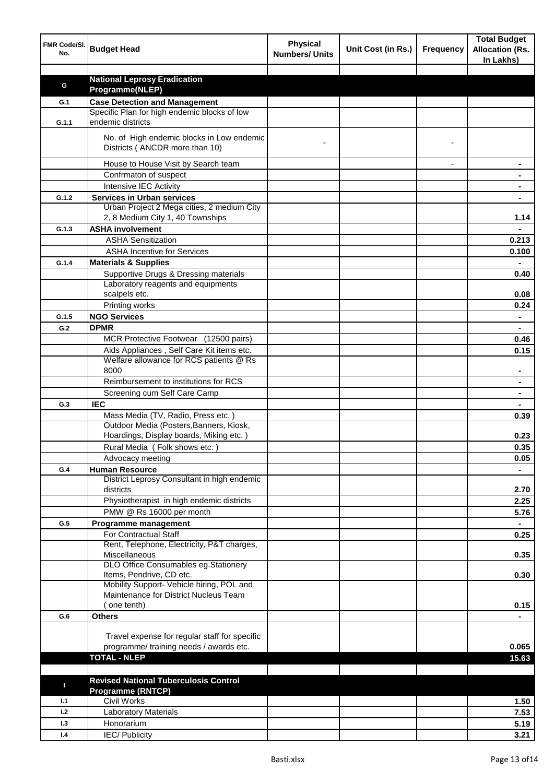| FMR Code/SI.<br>No. | <b>Budget Head</b>                                                                   | <b>Physical</b><br><b>Numbers/ Units</b> | Unit Cost (in Rs.) | Frequency | <b>Total Budget</b><br><b>Allocation (Rs.</b><br>In Lakhs) |
|---------------------|--------------------------------------------------------------------------------------|------------------------------------------|--------------------|-----------|------------------------------------------------------------|
|                     |                                                                                      |                                          |                    |           |                                                            |
| G                   | <b>National Leprosy Eradication</b><br>Programme(NLEP)                               |                                          |                    |           |                                                            |
|                     |                                                                                      |                                          |                    |           |                                                            |
| G.1                 | <b>Case Detection and Management</b><br>Specific Plan for high endemic blocks of low |                                          |                    |           |                                                            |
| G.1.1               | endemic districts                                                                    |                                          |                    |           |                                                            |
|                     | No. of High endemic blocks in Low endemic<br>Districts (ANCDR more than 10)          |                                          |                    |           |                                                            |
|                     | House to House Visit by Search team                                                  |                                          |                    |           |                                                            |
|                     | Confrmaton of suspect                                                                |                                          |                    |           |                                                            |
|                     | Intensive IEC Activity                                                               |                                          |                    |           |                                                            |
| G.1.2               | <b>Services in Urban services</b>                                                    |                                          |                    |           |                                                            |
|                     | Urban Project 2 Mega cities, 2 medium City                                           |                                          |                    |           |                                                            |
|                     | 2, 8 Medium City 1, 40 Townships                                                     |                                          |                    |           | 1.14                                                       |
| G.1.3               | <b>ASHA involvement</b>                                                              |                                          |                    |           |                                                            |
|                     | <b>ASHA Sensitization</b>                                                            |                                          |                    |           | 0.213                                                      |
|                     | <b>ASHA Incentive for Services</b>                                                   |                                          |                    |           | 0.100                                                      |
| G.1.4               | <b>Materials &amp; Supplies</b>                                                      |                                          |                    |           |                                                            |
|                     | Supportive Drugs & Dressing materials                                                |                                          |                    |           | 0.40                                                       |
|                     | Laboratory reagents and equipments                                                   |                                          |                    |           |                                                            |
|                     | scalpels etc.                                                                        |                                          |                    |           | 0.08                                                       |
|                     | Printing works                                                                       |                                          |                    |           | 0.24                                                       |
| G.1.5               | <b>NGO Services</b>                                                                  |                                          |                    |           | $\blacksquare$                                             |
| G.2                 | <b>DPMR</b>                                                                          |                                          |                    |           | $\blacksquare$                                             |
|                     | MCR Protective Footwear (12500 pairs)                                                |                                          |                    |           | 0.46                                                       |
|                     | Aids Appliances, Self Care Kit items etc.                                            |                                          |                    |           | 0.15                                                       |
|                     | Welfare allowance for RCS patients @ Rs<br>8000                                      |                                          |                    |           | ۰                                                          |
|                     | Reimbursement to institutions for RCS                                                |                                          |                    |           | ٠                                                          |
|                     | Screening cum Self Care Camp                                                         |                                          |                    |           | ٠                                                          |
| G.3                 | <b>IEC</b>                                                                           |                                          |                    |           |                                                            |
|                     | Mass Media (TV, Radio, Press etc.)                                                   |                                          |                    |           | 0.39                                                       |
|                     | Outdoor Media (Posters, Banners, Kiosk,                                              |                                          |                    |           |                                                            |
|                     | Hoardings, Display boards, Miking etc.)                                              |                                          |                    |           | 0.23                                                       |
|                     | Rural Media (Folk shows etc.)                                                        |                                          |                    |           | 0.35                                                       |
|                     | Advocacy meeting                                                                     |                                          |                    |           | 0.05                                                       |
| G.4                 | <b>Human Resource</b>                                                                |                                          |                    |           |                                                            |
|                     | District Leprosy Consultant in high endemic<br>districts                             |                                          |                    |           | 2.70                                                       |
|                     | Physiotherapist in high endemic districts                                            |                                          |                    |           | 2.25                                                       |
|                     | PMW @ Rs 16000 per month                                                             |                                          |                    |           | 5.76                                                       |
| G.5                 | Programme management                                                                 |                                          |                    |           | $\blacksquare$                                             |
|                     | For Contractual Staff                                                                |                                          |                    |           | 0.25                                                       |
|                     | Rent, Telephone, Electricity, P&T charges,                                           |                                          |                    |           |                                                            |
|                     | <b>Miscellaneous</b>                                                                 |                                          |                    |           | 0.35                                                       |
|                     | DLO Office Consumables eg.Stationery                                                 |                                          |                    |           |                                                            |
|                     | Items, Pendrive, CD etc.                                                             |                                          |                    |           | 0.30                                                       |
|                     | Mobility Support- Vehicle hiring, POL and<br>Maintenance for District Nucleus Team   |                                          |                    |           |                                                            |
|                     | (one tenth)                                                                          |                                          |                    |           |                                                            |
| G.6                 | <b>Others</b>                                                                        |                                          |                    |           | 0.15                                                       |
|                     |                                                                                      |                                          |                    |           |                                                            |
|                     | Travel expense for regular staff for specific                                        |                                          |                    |           |                                                            |
|                     | programme/ training needs / awards etc.                                              |                                          |                    |           | 0.065                                                      |
|                     | <b>TOTAL - NLEP</b>                                                                  |                                          |                    |           | 15.63                                                      |
|                     |                                                                                      |                                          |                    |           |                                                            |
|                     | <b>Revised National Tuberculosis Control</b>                                         |                                          |                    |           |                                                            |
| п                   | Programme (RNTCP)                                                                    |                                          |                    |           |                                                            |
| 1.1                 | <b>Civil Works</b>                                                                   |                                          |                    |           | 1.50                                                       |
| 1.2                 | Laboratory Materials                                                                 |                                          |                    |           | 7.53                                                       |
| 1.3                 | Honorarium                                                                           |                                          |                    |           | 5.19                                                       |
| 1.4                 | <b>IEC/Publicity</b>                                                                 |                                          |                    |           | 3.21                                                       |